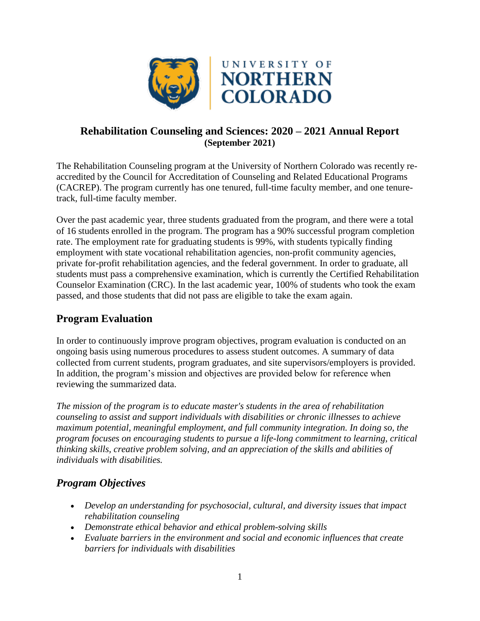

### **Rehabilitation Counseling and Sciences: 2020 – 2021 Annual Report (September 2021)**

The Rehabilitation Counseling program at the University of Northern Colorado was recently reaccredited by the Council for Accreditation of Counseling and Related Educational Programs (CACREP). The program currently has one tenured, full-time faculty member, and one tenuretrack, full-time faculty member.

Over the past academic year, three students graduated from the program, and there were a total of 16 students enrolled in the program. The program has a 90% successful program completion rate. The employment rate for graduating students is 99%, with students typically finding employment with state vocational rehabilitation agencies, non-profit community agencies, private for-profit rehabilitation agencies, and the federal government. In order to graduate, all students must pass a comprehensive examination, which is currently the Certified Rehabilitation Counselor Examination (CRC). In the last academic year, 100% of students who took the exam passed, and those students that did not pass are eligible to take the exam again.

# **Program Evaluation**

In order to continuously improve program objectives, program evaluation is conducted on an ongoing basis using numerous procedures to assess student outcomes. A summary of data collected from current students, program graduates, and site supervisors/employers is provided. In addition, the program's mission and objectives are provided below for reference when reviewing the summarized data.

*The mission of the program is to educate master's students in the area of rehabilitation counseling to assist and support individuals with disabilities or chronic illnesses to achieve maximum potential, meaningful employment, and full community integration. In doing so, the program focuses on encouraging students to pursue a life-long commitment to learning, critical thinking skills, creative problem solving, and an appreciation of the skills and abilities of individuals with disabilities.*

# *Program Objectives*

- *Develop an understanding for psychosocial, cultural, and diversity issues that impact rehabilitation counseling*
- *Demonstrate ethical behavior and ethical problem-solving skills*
- *Evaluate barriers in the environment and social and economic influences that create barriers for individuals with disabilities*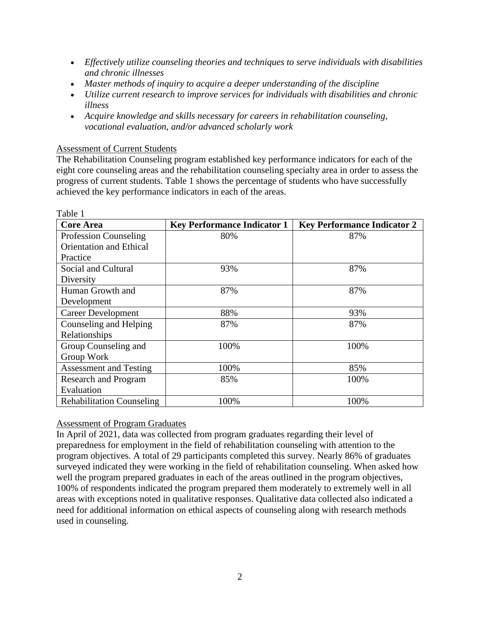- *Effectively utilize counseling theories and techniques to serve individuals with disabilities and chronic illnesses*
- *Master methods of inquiry to acquire a deeper understanding of the discipline*
- *Utilize current research to improve services for individuals with disabilities and chronic illness*
- *Acquire knowledge and skills necessary for careers in rehabilitation counseling, vocational evaluation, and/or advanced scholarly work*

#### Assessment of Current Students

The Rehabilitation Counseling program established key performance indicators for each of the eight core counseling areas and the rehabilitation counseling specialty area in order to assess the progress of current students. Table 1 shows the percentage of students who have successfully achieved the key performance indicators in each of the areas.

| Table 1                          |                                    |                                    |
|----------------------------------|------------------------------------|------------------------------------|
| <b>Core Area</b>                 | <b>Key Performance Indicator 1</b> | <b>Key Performance Indicator 2</b> |
| <b>Profession Counseling</b>     | 80%                                | 87%                                |
| <b>Orientation and Ethical</b>   |                                    |                                    |
| Practice                         |                                    |                                    |
| Social and Cultural              | 93%                                | 87%                                |
| Diversity                        |                                    |                                    |
| Human Growth and                 | 87%                                | 87%                                |
| Development                      |                                    |                                    |
| Career Development               | 88%                                | 93%                                |
| Counseling and Helping           | 87%                                | 87%                                |
| Relationships                    |                                    |                                    |
| Group Counseling and             | 100%                               | 100%                               |
| Group Work                       |                                    |                                    |
| <b>Assessment and Testing</b>    | 100%                               | 85%                                |
| Research and Program             | 85%                                | 100%                               |
| Evaluation                       |                                    |                                    |
| <b>Rehabilitation Counseling</b> | 100%                               | 100%                               |

#### Assessment of Program Graduates

In April of 2021, data was collected from program graduates regarding their level of preparedness for employment in the field of rehabilitation counseling with attention to the program objectives. A total of 29 participants completed this survey. Nearly 86% of graduates surveyed indicated they were working in the field of rehabilitation counseling. When asked how well the program prepared graduates in each of the areas outlined in the program objectives, 100% of respondents indicated the program prepared them moderately to extremely well in all areas with exceptions noted in qualitative responses. Qualitative data collected also indicated a need for additional information on ethical aspects of counseling along with research methods used in counseling.